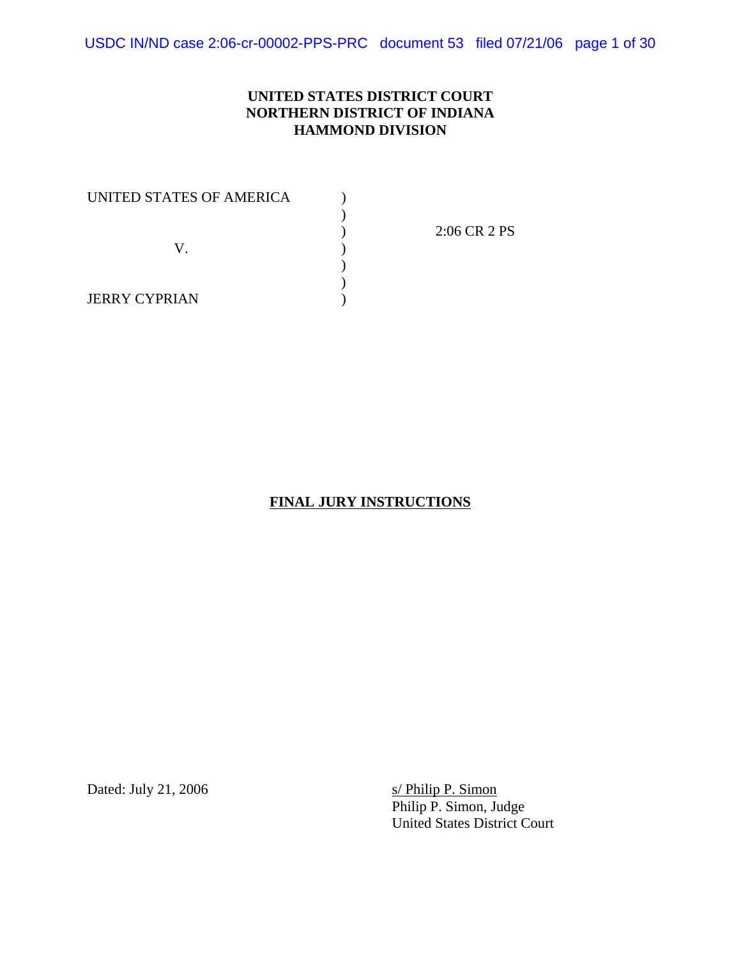USDC IN/ND case 2:06-cr-00002-PPS-PRC document 53 filed 07/21/06 page 1 of 30

### **UNITED STATES DISTRICT COURT NORTHERN DISTRICT OF INDIANA HAMMOND DIVISION**

| UNITED STATES OF AMERICA |              |
|--------------------------|--------------|
|                          |              |
|                          | 2:06 CR 2 PS |
|                          |              |
|                          |              |
|                          |              |
| <b>JERRY CYPRIAN</b>     |              |

### **FINAL JURY INSTRUCTIONS**

Dated: July 21, 2006 s/ Philip P. Simon

Philip P. Simon, Judge United States District Court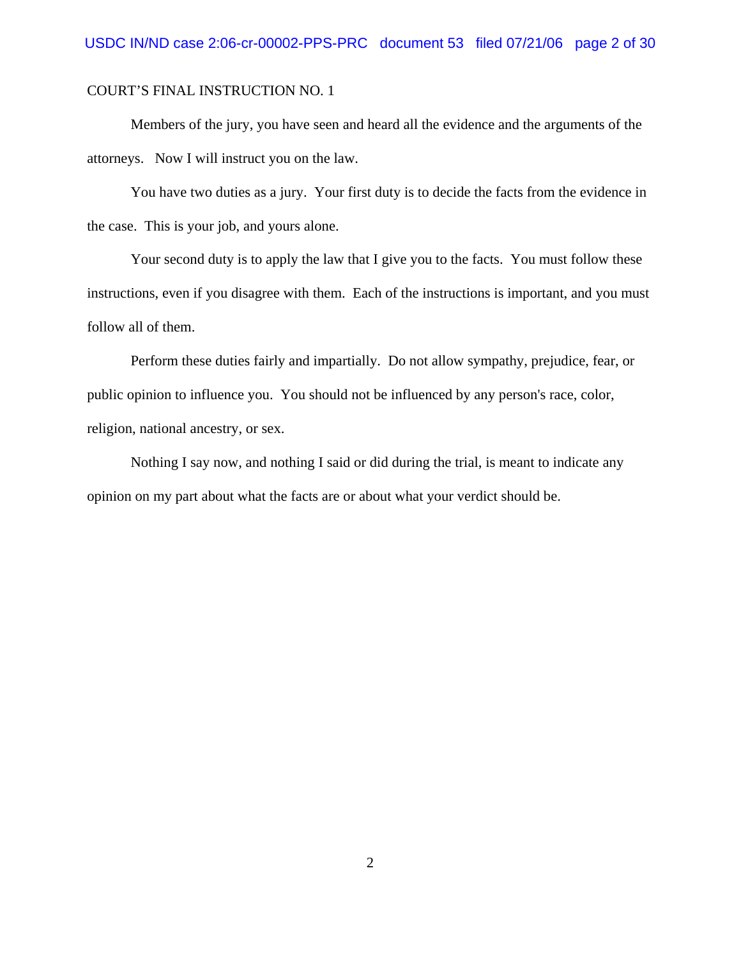Members of the jury, you have seen and heard all the evidence and the arguments of the attorneys. Now I will instruct you on the law.

You have two duties as a jury. Your first duty is to decide the facts from the evidence in the case. This is your job, and yours alone.

Your second duty is to apply the law that I give you to the facts. You must follow these instructions, even if you disagree with them. Each of the instructions is important, and you must follow all of them.

Perform these duties fairly and impartially. Do not allow sympathy, prejudice, fear, or public opinion to influence you. You should not be influenced by any person's race, color, religion, national ancestry, or sex.

Nothing I say now, and nothing I said or did during the trial, is meant to indicate any opinion on my part about what the facts are or about what your verdict should be.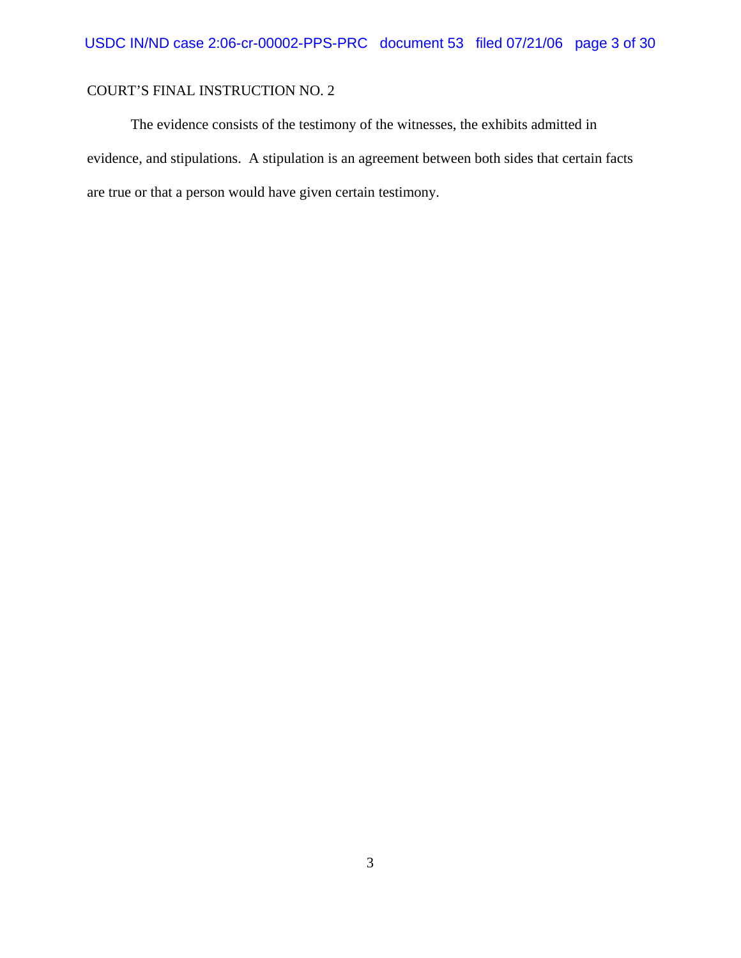The evidence consists of the testimony of the witnesses, the exhibits admitted in evidence, and stipulations. A stipulation is an agreement between both sides that certain facts are true or that a person would have given certain testimony.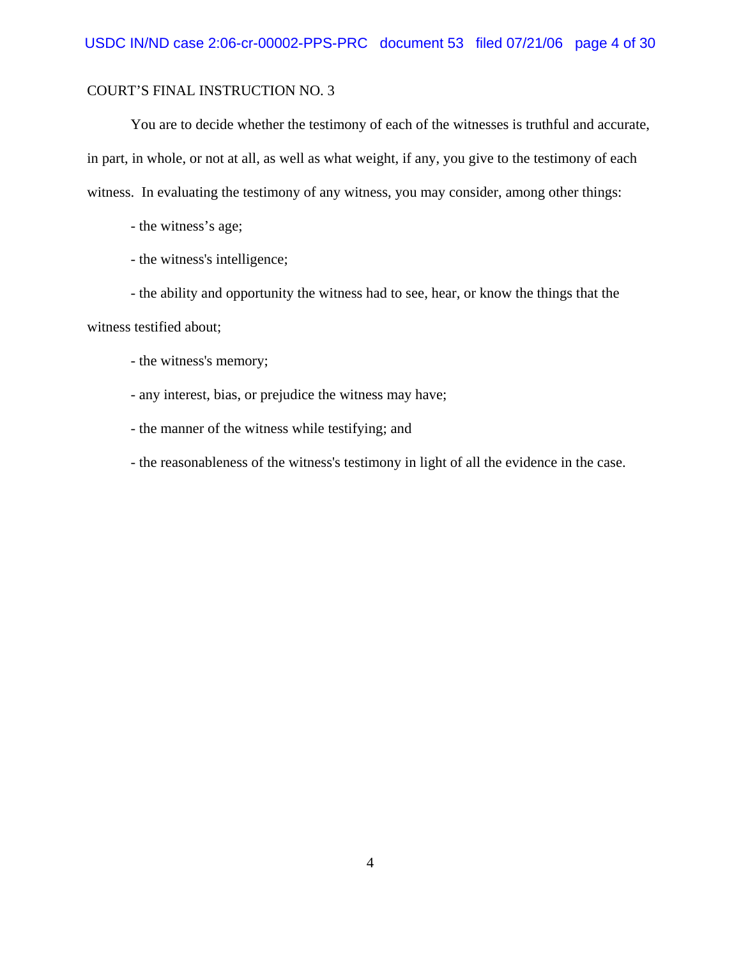You are to decide whether the testimony of each of the witnesses is truthful and accurate, in part, in whole, or not at all, as well as what weight, if any, you give to the testimony of each witness. In evaluating the testimony of any witness, you may consider, among other things:

- the witness's age;

- the witness's intelligence;

- the ability and opportunity the witness had to see, hear, or know the things that the

witness testified about;

- the witness's memory;
- any interest, bias, or prejudice the witness may have;
- the manner of the witness while testifying; and
- the reasonableness of the witness's testimony in light of all the evidence in the case.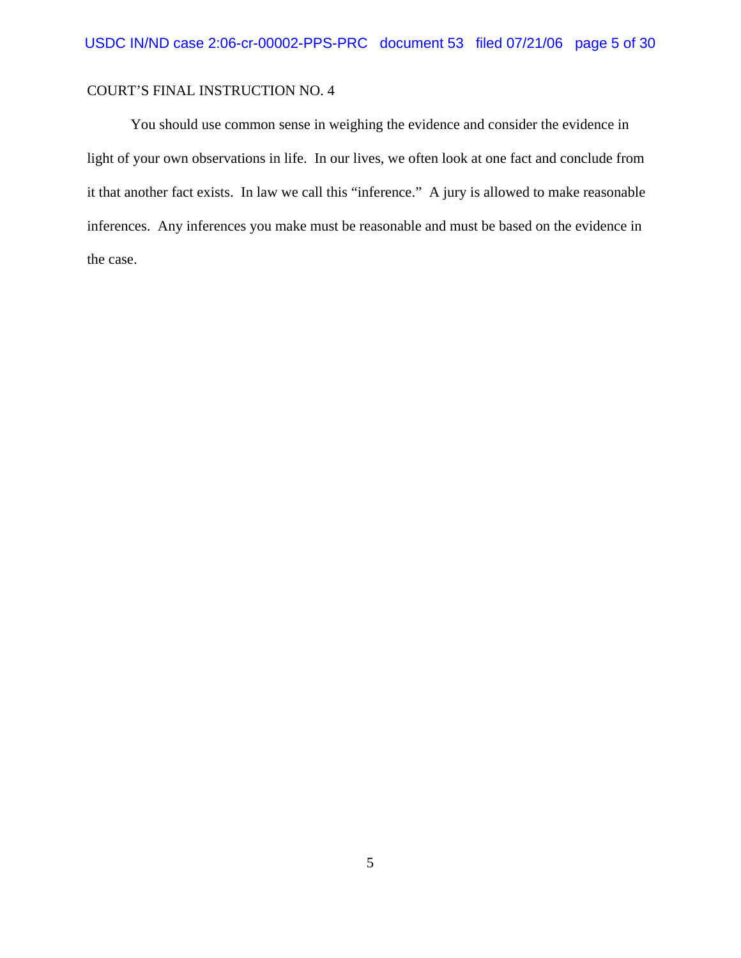You should use common sense in weighing the evidence and consider the evidence in light of your own observations in life. In our lives, we often look at one fact and conclude from it that another fact exists. In law we call this "inference." A jury is allowed to make reasonable inferences. Any inferences you make must be reasonable and must be based on the evidence in the case.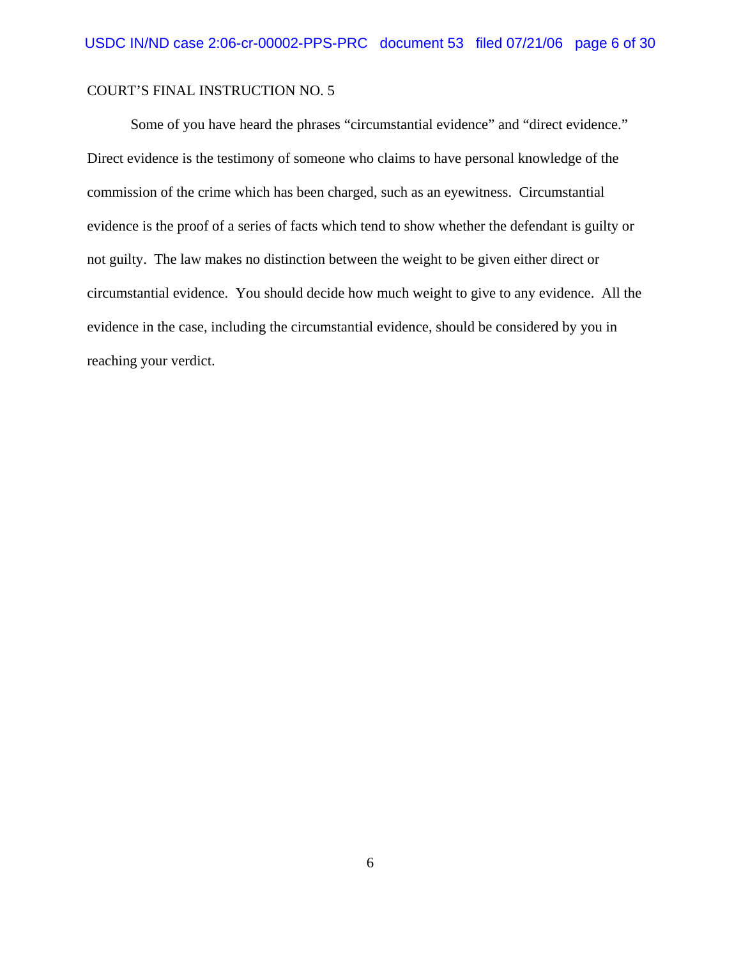Some of you have heard the phrases "circumstantial evidence" and "direct evidence." Direct evidence is the testimony of someone who claims to have personal knowledge of the commission of the crime which has been charged, such as an eyewitness. Circumstantial evidence is the proof of a series of facts which tend to show whether the defendant is guilty or not guilty. The law makes no distinction between the weight to be given either direct or circumstantial evidence. You should decide how much weight to give to any evidence. All the evidence in the case, including the circumstantial evidence, should be considered by you in reaching your verdict.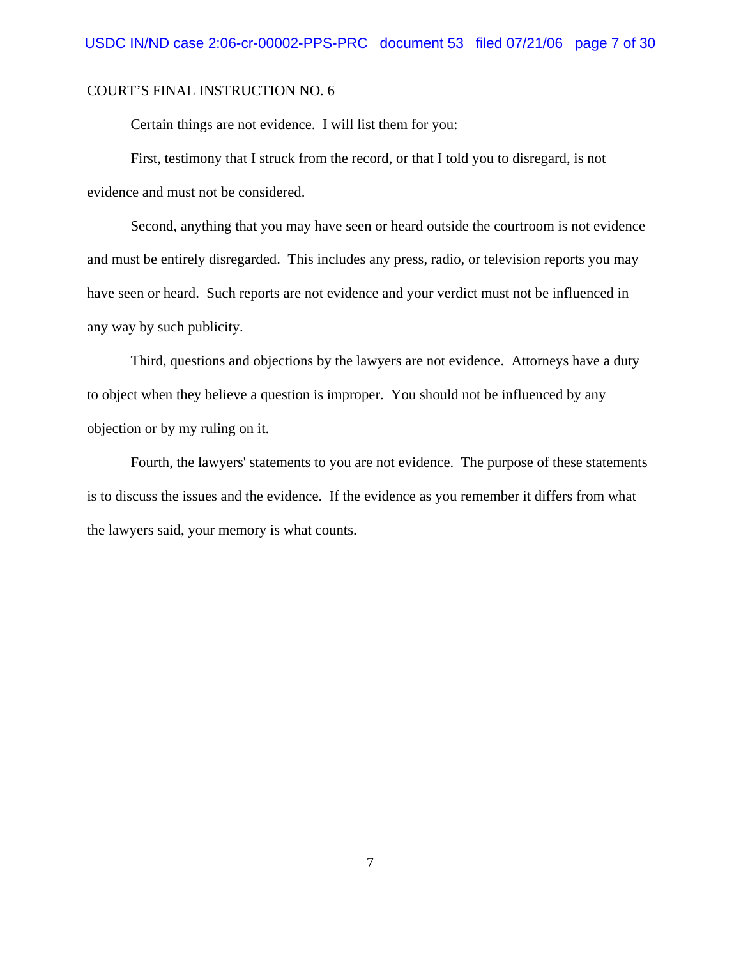Certain things are not evidence. I will list them for you:

First, testimony that I struck from the record, or that I told you to disregard, is not evidence and must not be considered.

Second, anything that you may have seen or heard outside the courtroom is not evidence and must be entirely disregarded. This includes any press, radio, or television reports you may have seen or heard. Such reports are not evidence and your verdict must not be influenced in any way by such publicity.

Third, questions and objections by the lawyers are not evidence. Attorneys have a duty to object when they believe a question is improper. You should not be influenced by any objection or by my ruling on it.

Fourth, the lawyers' statements to you are not evidence. The purpose of these statements is to discuss the issues and the evidence. If the evidence as you remember it differs from what the lawyers said, your memory is what counts.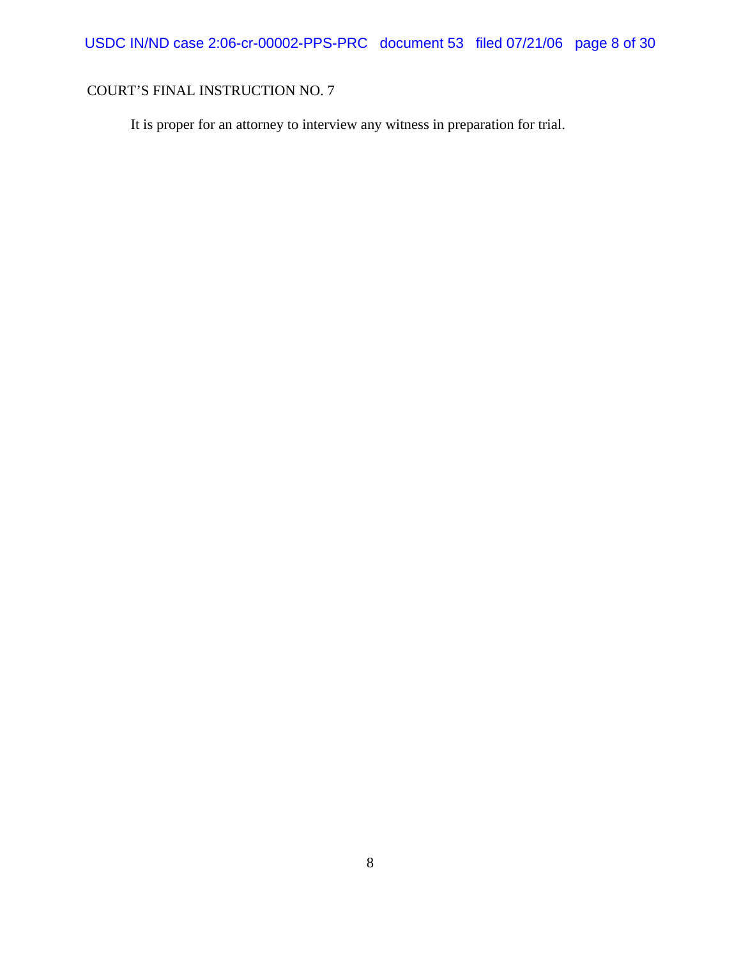It is proper for an attorney to interview any witness in preparation for trial.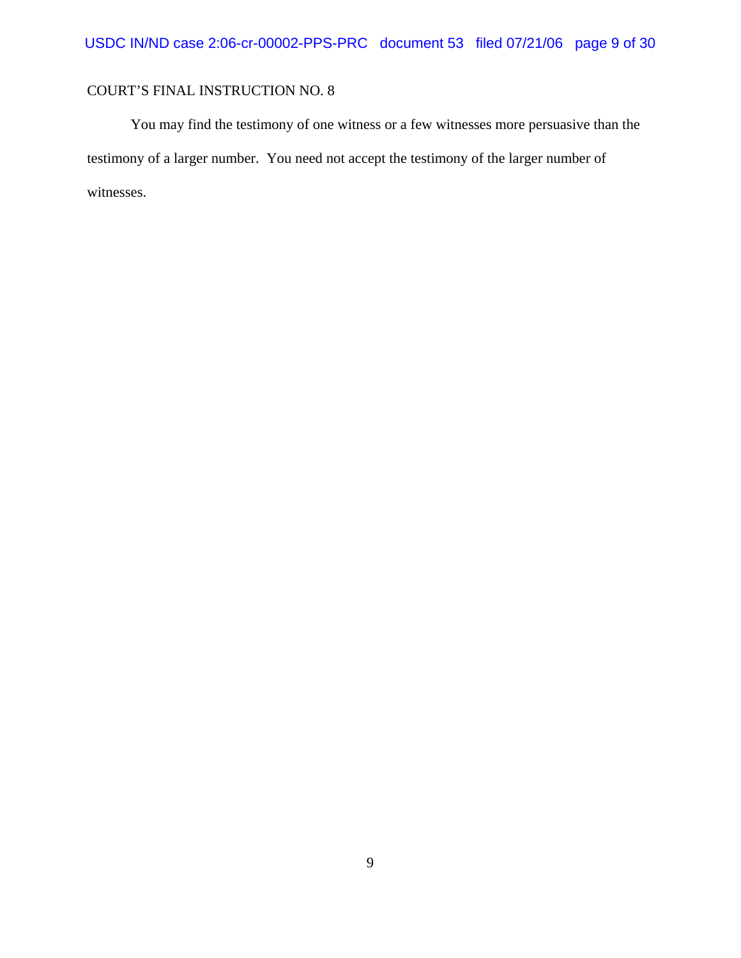You may find the testimony of one witness or a few witnesses more persuasive than the testimony of a larger number. You need not accept the testimony of the larger number of witnesses.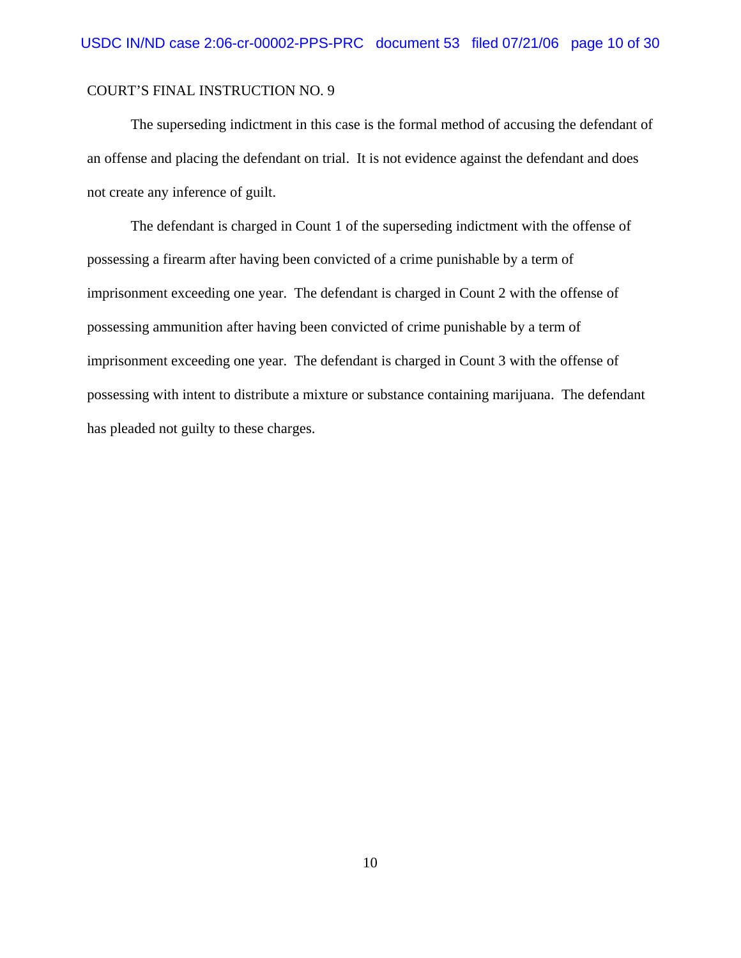The superseding indictment in this case is the formal method of accusing the defendant of an offense and placing the defendant on trial. It is not evidence against the defendant and does not create any inference of guilt.

The defendant is charged in Count 1 of the superseding indictment with the offense of possessing a firearm after having been convicted of a crime punishable by a term of imprisonment exceeding one year. The defendant is charged in Count 2 with the offense of possessing ammunition after having been convicted of crime punishable by a term of imprisonment exceeding one year. The defendant is charged in Count 3 with the offense of possessing with intent to distribute a mixture or substance containing marijuana. The defendant has pleaded not guilty to these charges.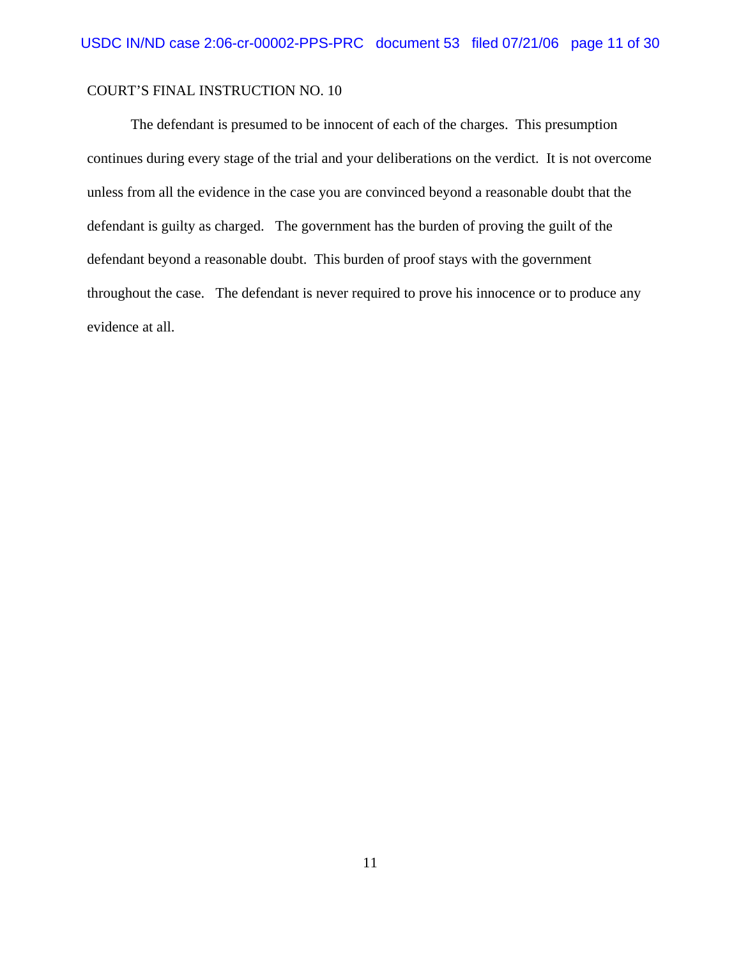The defendant is presumed to be innocent of each of the charges. This presumption continues during every stage of the trial and your deliberations on the verdict. It is not overcome unless from all the evidence in the case you are convinced beyond a reasonable doubt that the defendant is guilty as charged. The government has the burden of proving the guilt of the defendant beyond a reasonable doubt. This burden of proof stays with the government throughout the case. The defendant is never required to prove his innocence or to produce any evidence at all.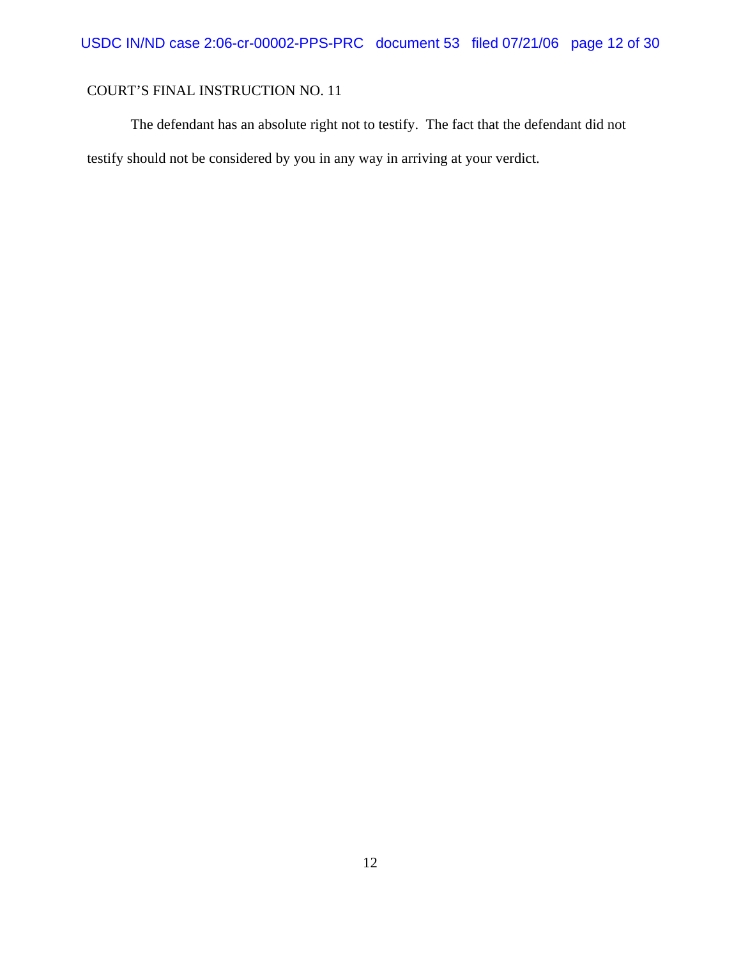The defendant has an absolute right not to testify. The fact that the defendant did not testify should not be considered by you in any way in arriving at your verdict.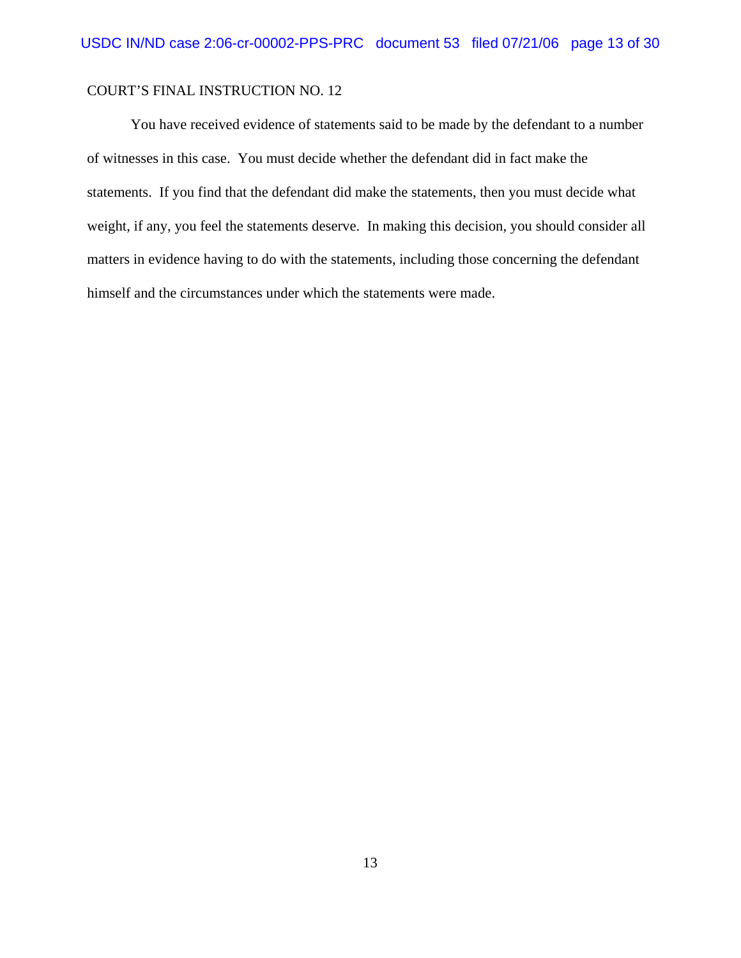You have received evidence of statements said to be made by the defendant to a number of witnesses in this case. You must decide whether the defendant did in fact make the statements. If you find that the defendant did make the statements, then you must decide what weight, if any, you feel the statements deserve. In making this decision, you should consider all matters in evidence having to do with the statements, including those concerning the defendant himself and the circumstances under which the statements were made.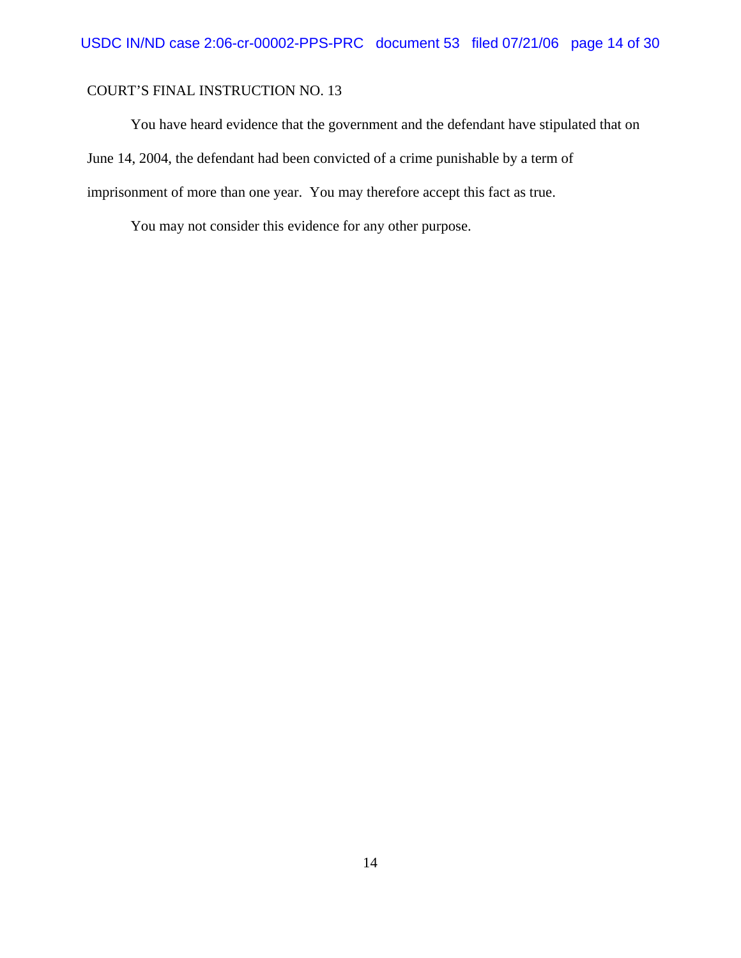You have heard evidence that the government and the defendant have stipulated that on June 14, 2004, the defendant had been convicted of a crime punishable by a term of imprisonment of more than one year. You may therefore accept this fact as true.

You may not consider this evidence for any other purpose.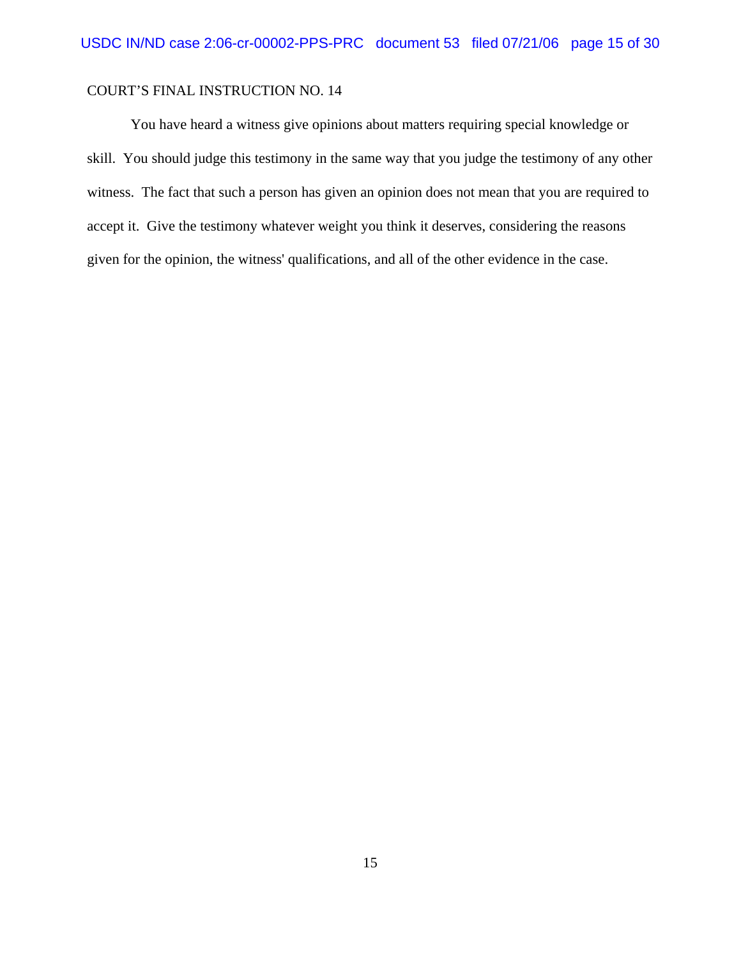You have heard a witness give opinions about matters requiring special knowledge or skill. You should judge this testimony in the same way that you judge the testimony of any other witness. The fact that such a person has given an opinion does not mean that you are required to accept it. Give the testimony whatever weight you think it deserves, considering the reasons given for the opinion, the witness' qualifications, and all of the other evidence in the case.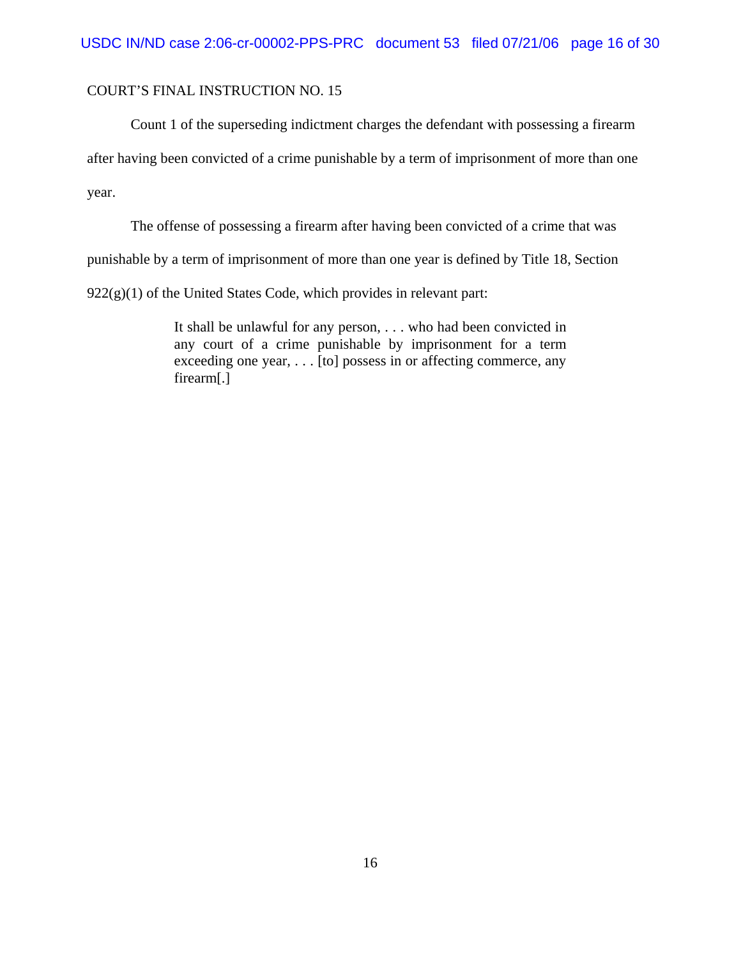Count 1 of the superseding indictment charges the defendant with possessing a firearm

after having been convicted of a crime punishable by a term of imprisonment of more than one

year.

The offense of possessing a firearm after having been convicted of a crime that was

punishable by a term of imprisonment of more than one year is defined by Title 18, Section

 $922(g)(1)$  of the United States Code, which provides in relevant part:

It shall be unlawful for any person, . . . who had been convicted in any court of a crime punishable by imprisonment for a term exceeding one year,  $\ldots$  [to] possess in or affecting commerce, any firearm[.]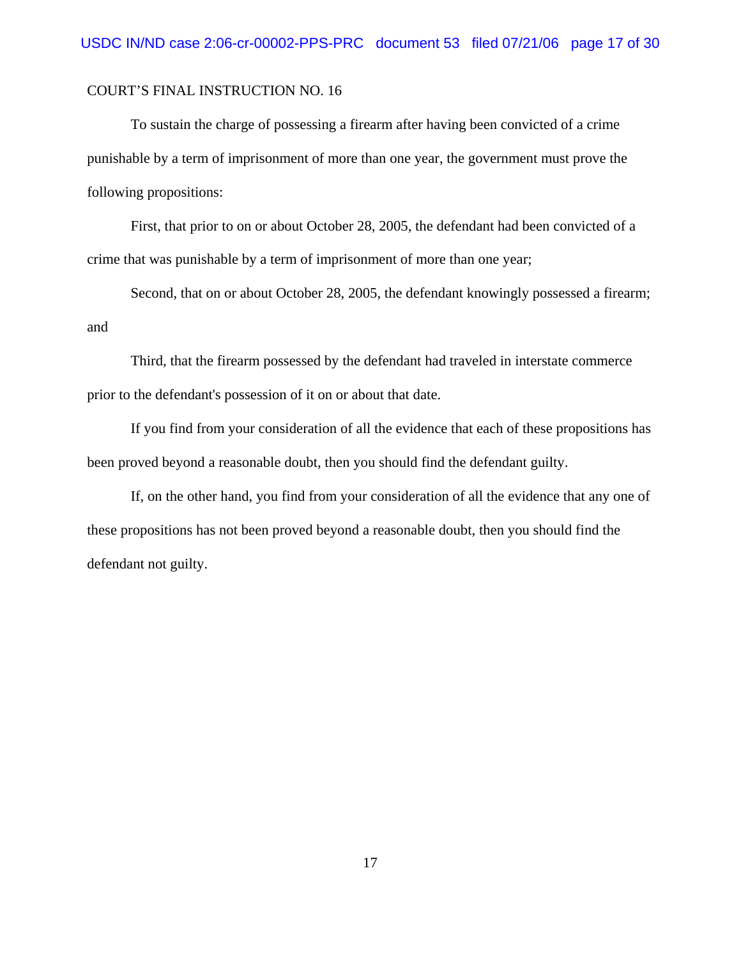To sustain the charge of possessing a firearm after having been convicted of a crime punishable by a term of imprisonment of more than one year, the government must prove the following propositions:

First, that prior to on or about October 28, 2005, the defendant had been convicted of a crime that was punishable by a term of imprisonment of more than one year;

Second, that on or about October 28, 2005, the defendant knowingly possessed a firearm; and

Third, that the firearm possessed by the defendant had traveled in interstate commerce prior to the defendant's possession of it on or about that date.

If you find from your consideration of all the evidence that each of these propositions has been proved beyond a reasonable doubt, then you should find the defendant guilty.

If, on the other hand, you find from your consideration of all the evidence that any one of these propositions has not been proved beyond a reasonable doubt, then you should find the defendant not guilty.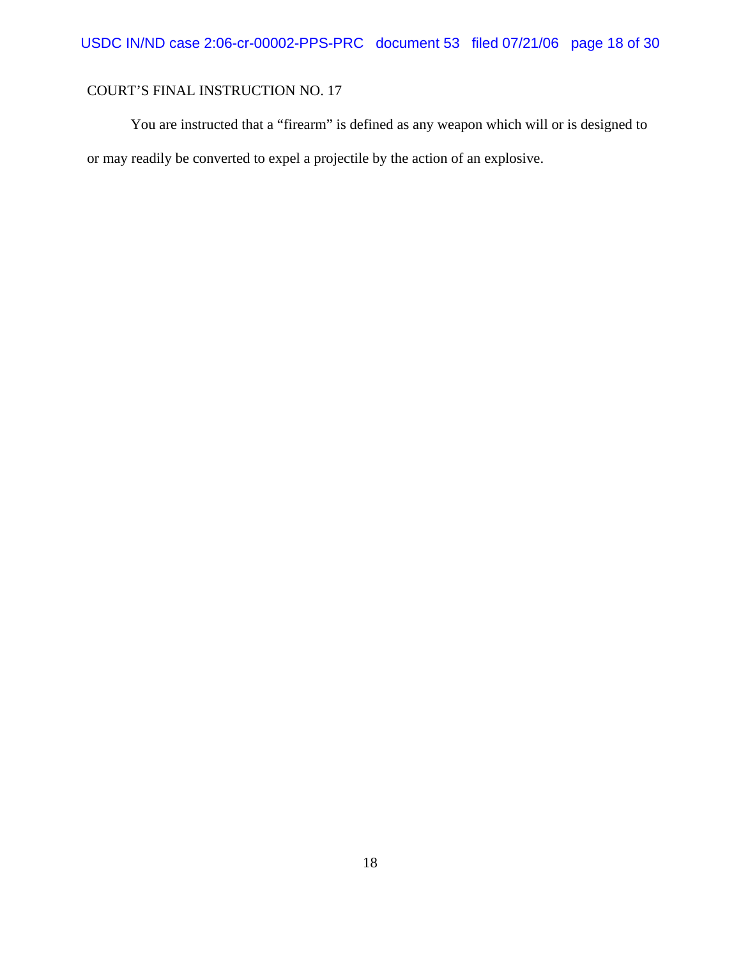You are instructed that a "firearm" is defined as any weapon which will or is designed to or may readily be converted to expel a projectile by the action of an explosive.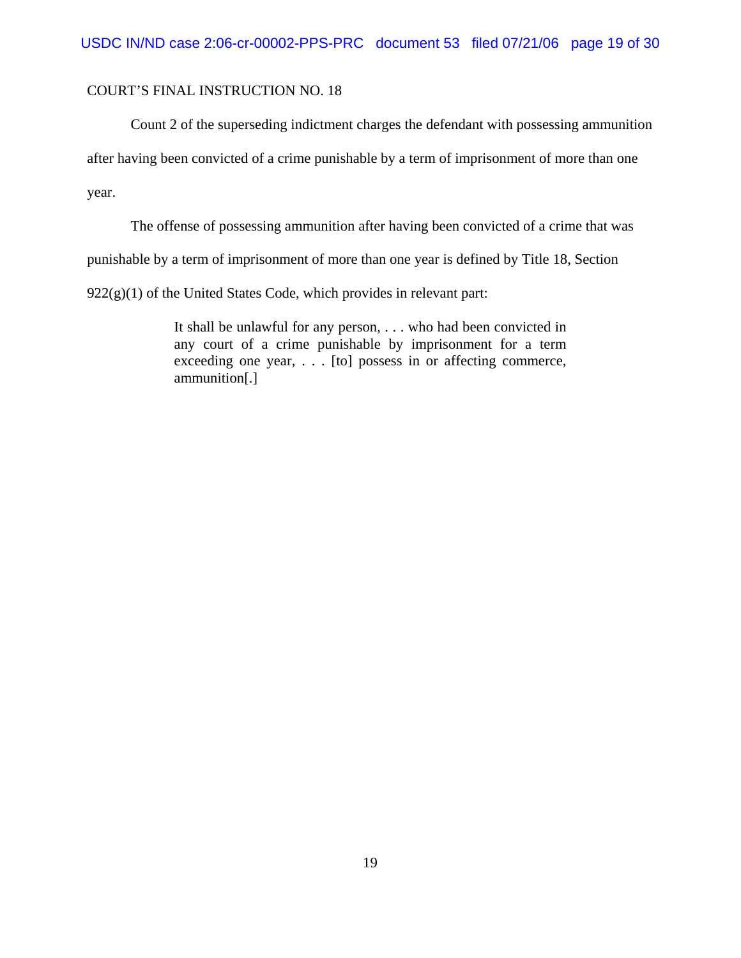Count 2 of the superseding indictment charges the defendant with possessing ammunition

after having been convicted of a crime punishable by a term of imprisonment of more than one

year.

The offense of possessing ammunition after having been convicted of a crime that was

punishable by a term of imprisonment of more than one year is defined by Title 18, Section

 $922(g)(1)$  of the United States Code, which provides in relevant part:

It shall be unlawful for any person, . . . who had been convicted in any court of a crime punishable by imprisonment for a term exceeding one year, . . . [to] possess in or affecting commerce, ammunition[.]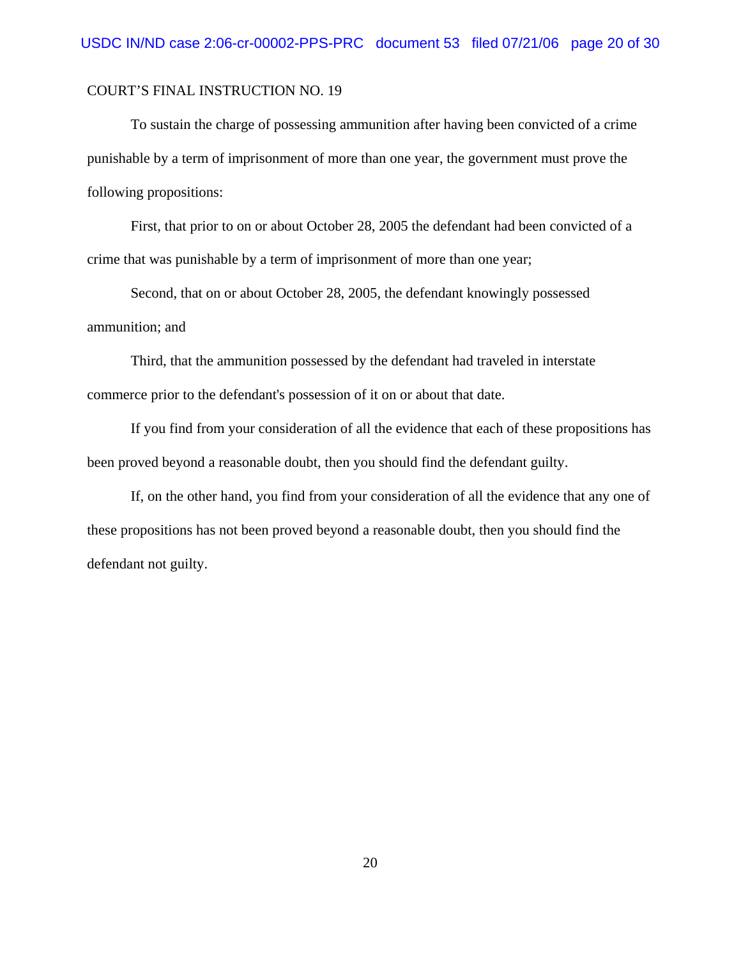To sustain the charge of possessing ammunition after having been convicted of a crime punishable by a term of imprisonment of more than one year, the government must prove the following propositions:

First, that prior to on or about October 28, 2005 the defendant had been convicted of a crime that was punishable by a term of imprisonment of more than one year;

Second, that on or about October 28, 2005, the defendant knowingly possessed ammunition; and

Third, that the ammunition possessed by the defendant had traveled in interstate commerce prior to the defendant's possession of it on or about that date.

If you find from your consideration of all the evidence that each of these propositions has been proved beyond a reasonable doubt, then you should find the defendant guilty.

If, on the other hand, you find from your consideration of all the evidence that any one of these propositions has not been proved beyond a reasonable doubt, then you should find the defendant not guilty.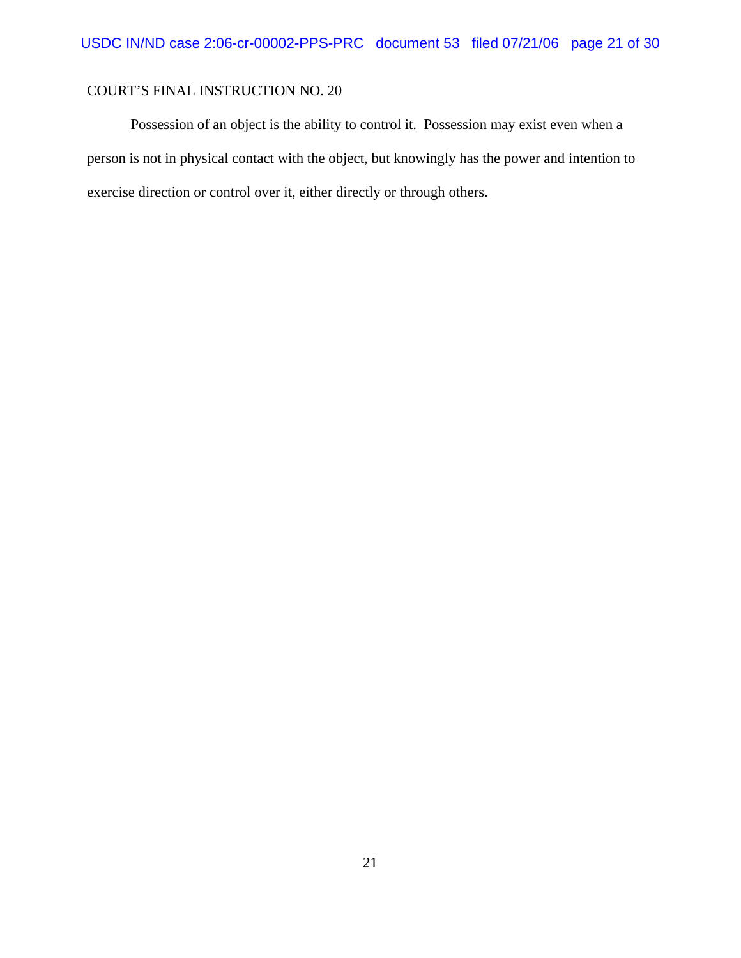Possession of an object is the ability to control it. Possession may exist even when a person is not in physical contact with the object, but knowingly has the power and intention to exercise direction or control over it, either directly or through others.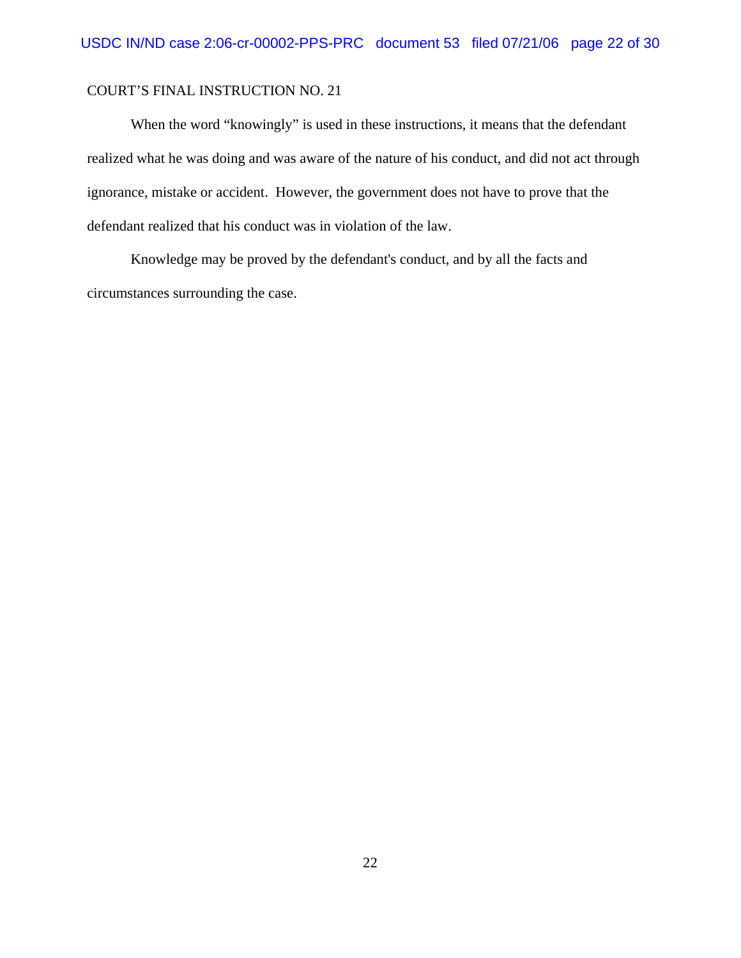When the word "knowingly" is used in these instructions, it means that the defendant realized what he was doing and was aware of the nature of his conduct, and did not act through ignorance, mistake or accident. However, the government does not have to prove that the defendant realized that his conduct was in violation of the law.

Knowledge may be proved by the defendant's conduct, and by all the facts and circumstances surrounding the case.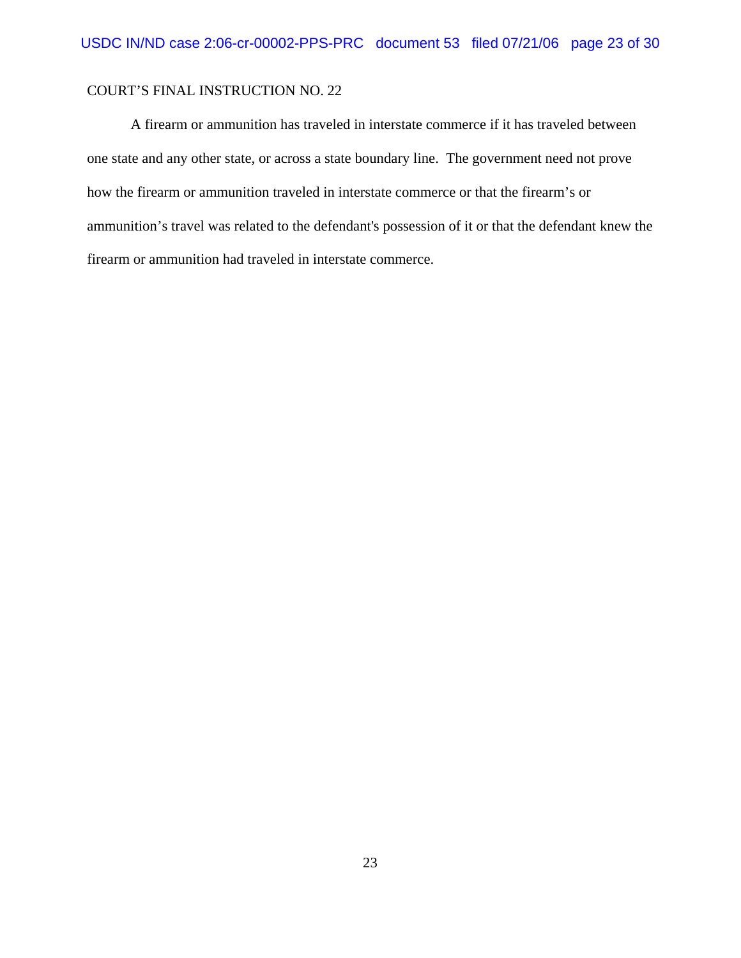A firearm or ammunition has traveled in interstate commerce if it has traveled between one state and any other state, or across a state boundary line. The government need not prove how the firearm or ammunition traveled in interstate commerce or that the firearm's or ammunition's travel was related to the defendant's possession of it or that the defendant knew the firearm or ammunition had traveled in interstate commerce.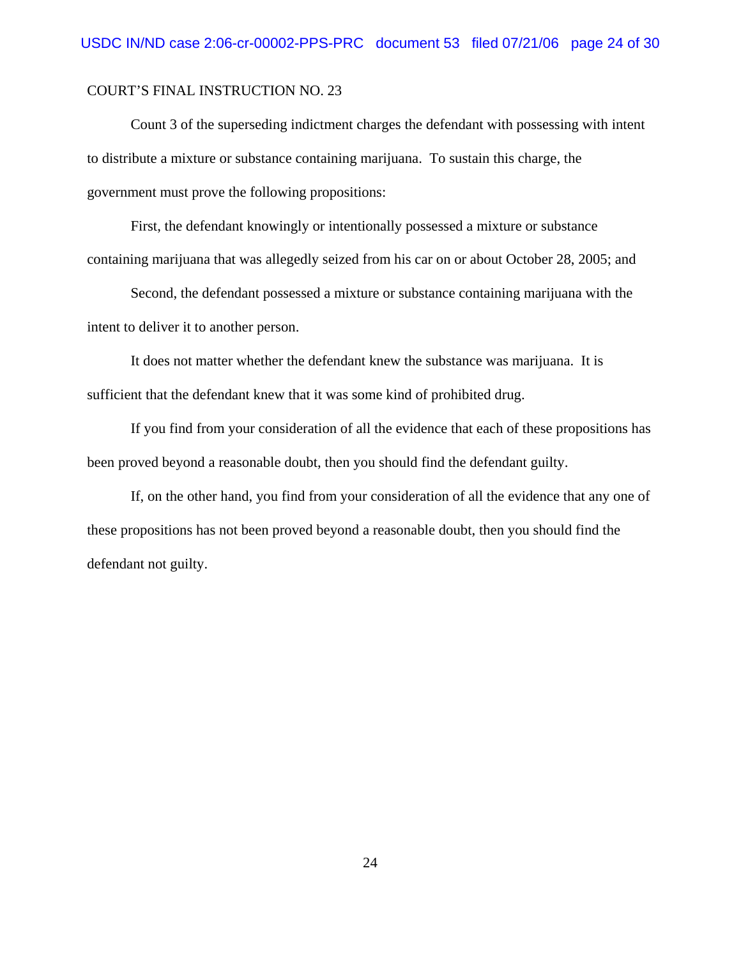Count 3 of the superseding indictment charges the defendant with possessing with intent to distribute a mixture or substance containing marijuana. To sustain this charge, the government must prove the following propositions:

First, the defendant knowingly or intentionally possessed a mixture or substance containing marijuana that was allegedly seized from his car on or about October 28, 2005; and

Second, the defendant possessed a mixture or substance containing marijuana with the intent to deliver it to another person.

It does not matter whether the defendant knew the substance was marijuana. It is sufficient that the defendant knew that it was some kind of prohibited drug.

If you find from your consideration of all the evidence that each of these propositions has been proved beyond a reasonable doubt, then you should find the defendant guilty.

If, on the other hand, you find from your consideration of all the evidence that any one of these propositions has not been proved beyond a reasonable doubt, then you should find the defendant not guilty.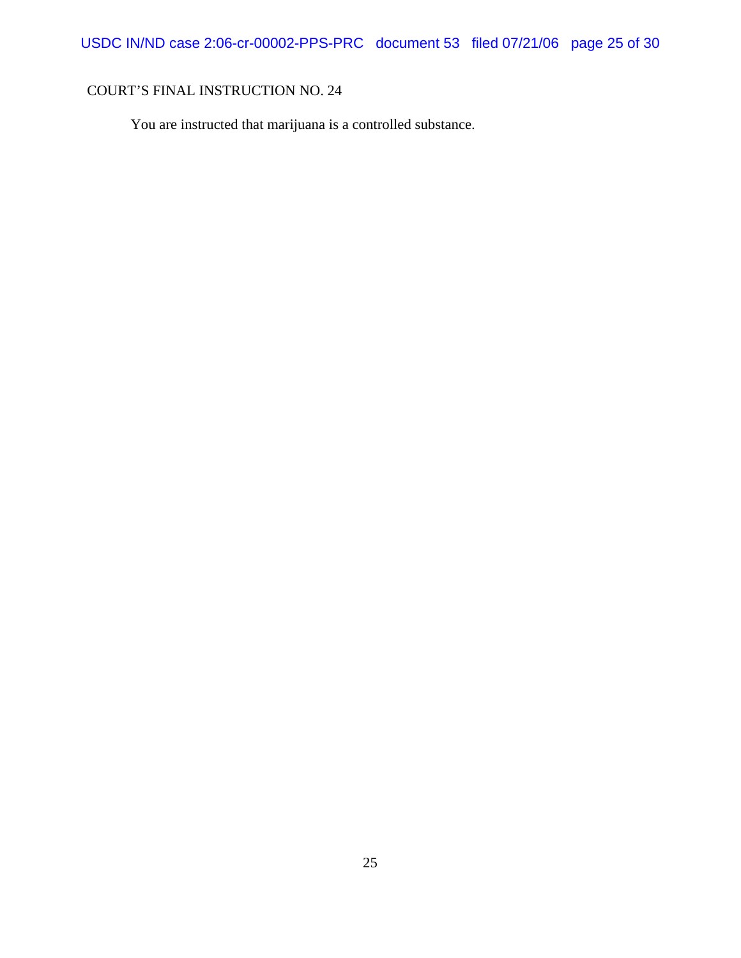You are instructed that marijuana is a controlled substance.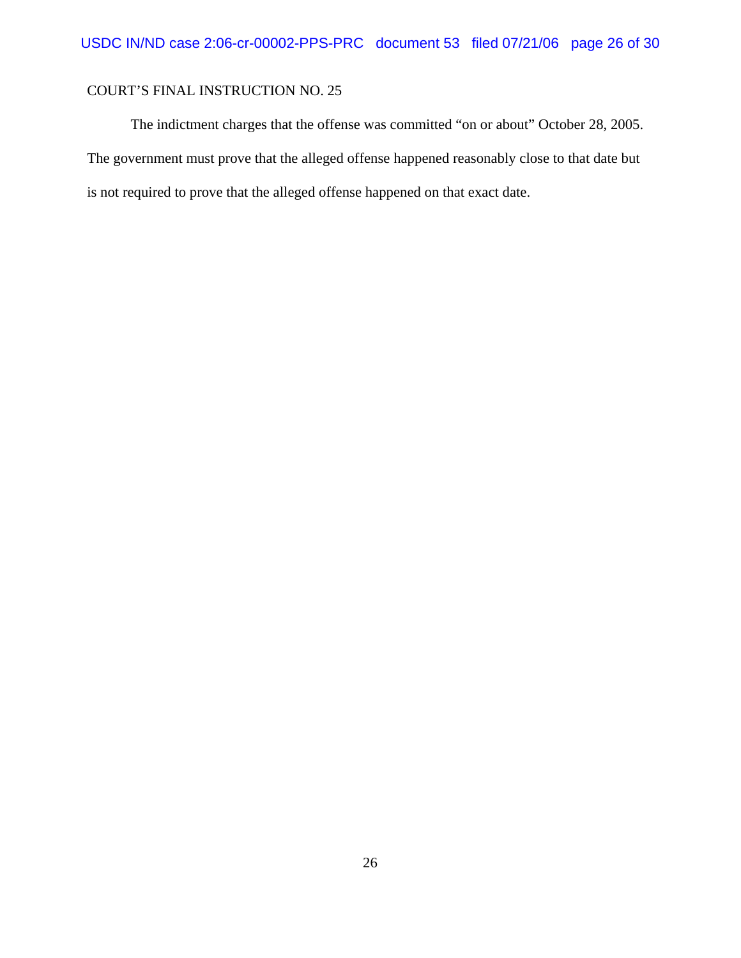The indictment charges that the offense was committed "on or about" October 28, 2005. The government must prove that the alleged offense happened reasonably close to that date but is not required to prove that the alleged offense happened on that exact date.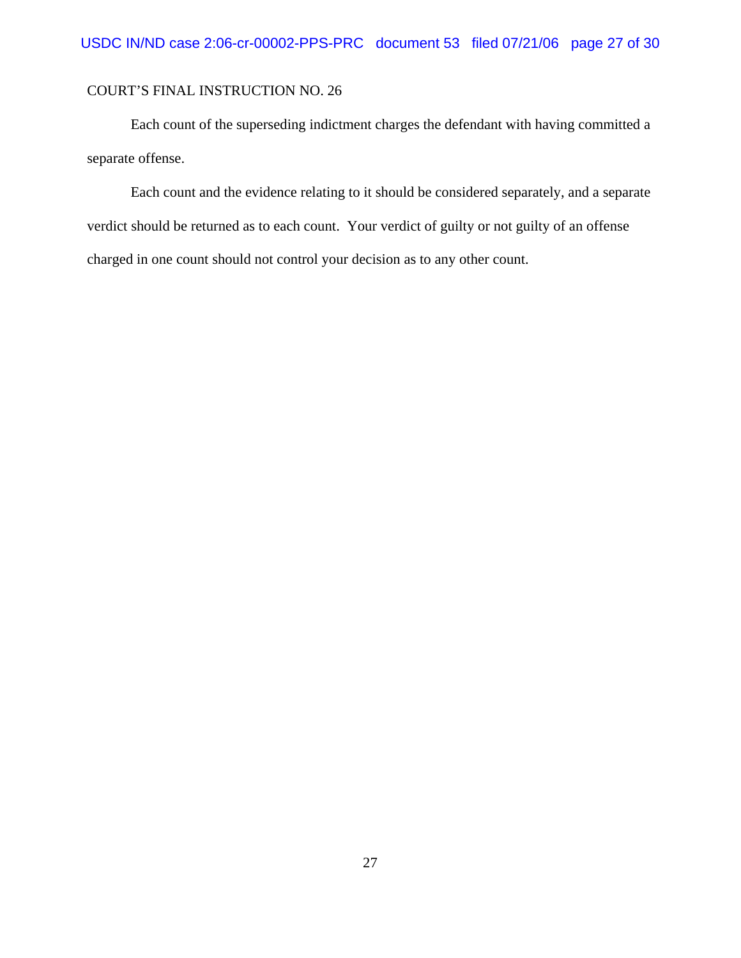Each count of the superseding indictment charges the defendant with having committed a separate offense.

Each count and the evidence relating to it should be considered separately, and a separate verdict should be returned as to each count. Your verdict of guilty or not guilty of an offense charged in one count should not control your decision as to any other count.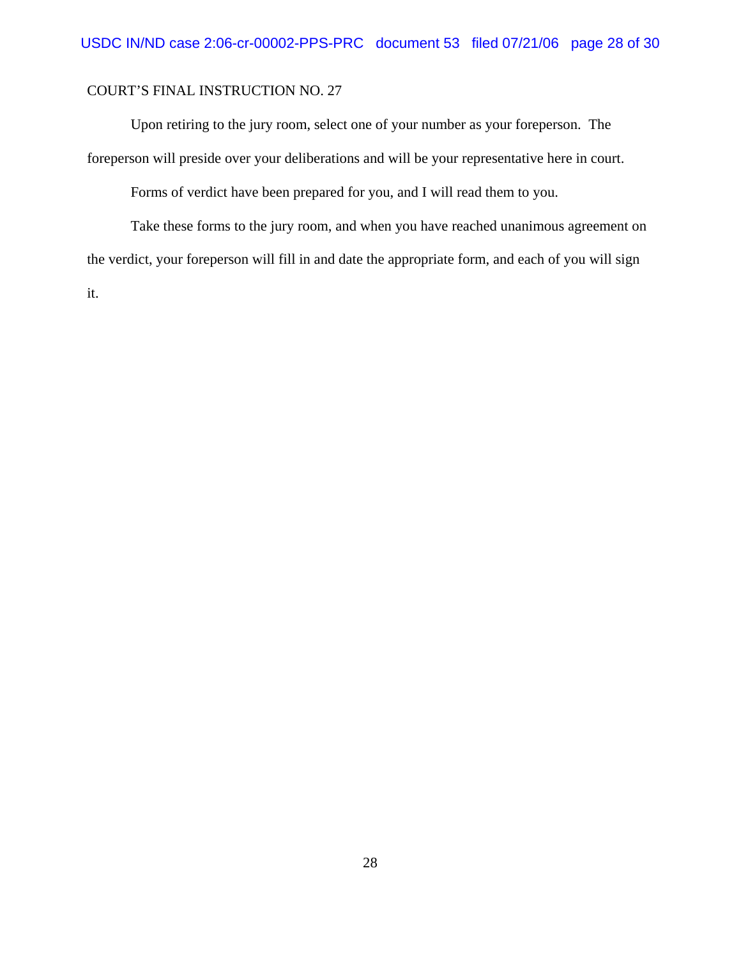Upon retiring to the jury room, select one of your number as your foreperson. The foreperson will preside over your deliberations and will be your representative here in court.

Forms of verdict have been prepared for you, and I will read them to you.

Take these forms to the jury room, and when you have reached unanimous agreement on the verdict, your foreperson will fill in and date the appropriate form, and each of you will sign it.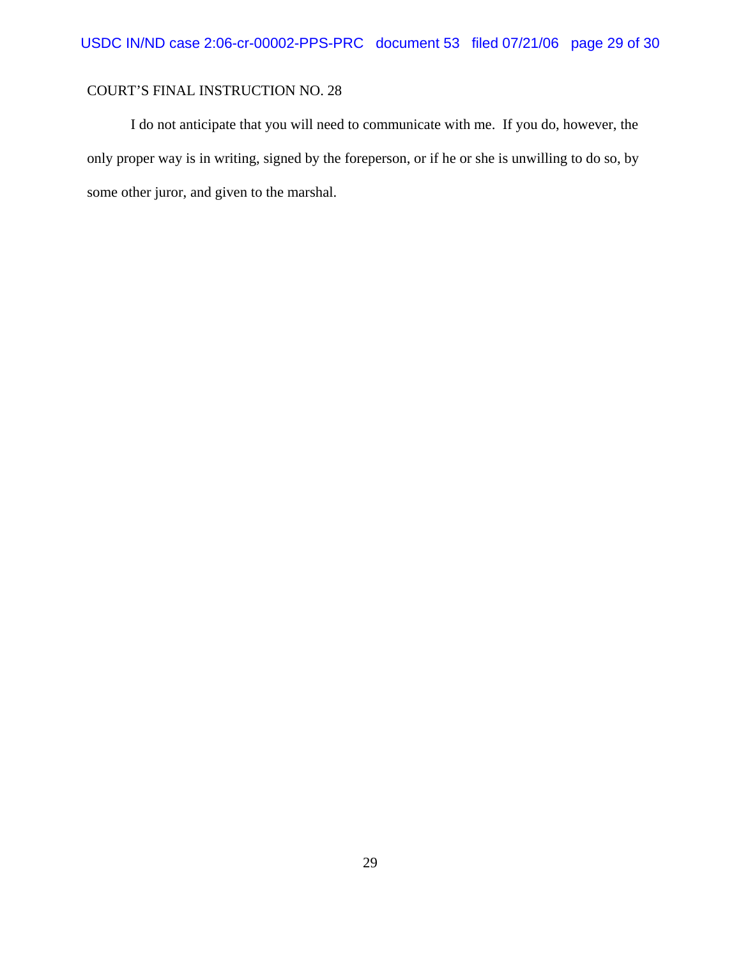I do not anticipate that you will need to communicate with me. If you do, however, the only proper way is in writing, signed by the foreperson, or if he or she is unwilling to do so, by some other juror, and given to the marshal.